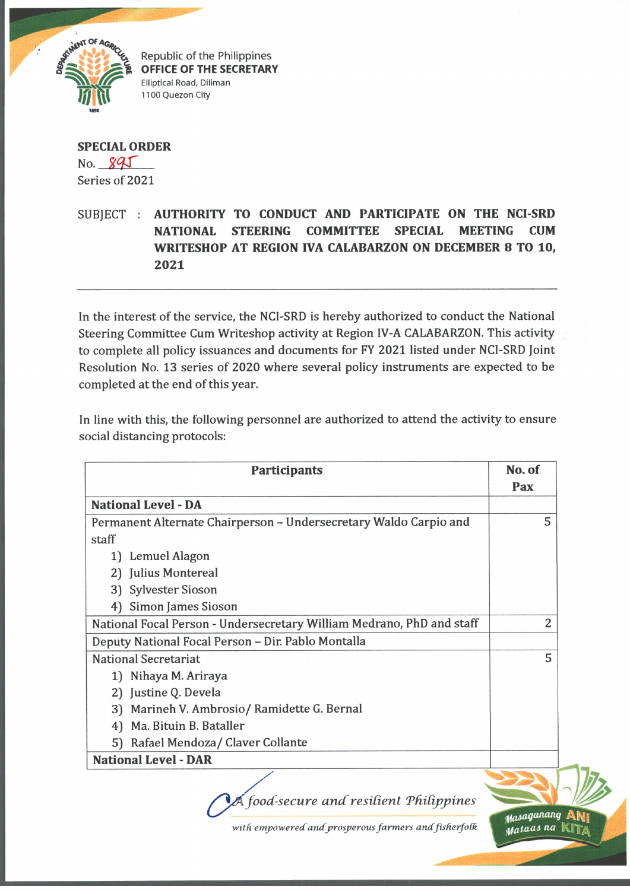

Republic of the Philippines **OFFICE OF THE SECRETARY Elliptical Road, Diliman 1100 Quezon City**

**SPECIAL ORDER**  $No. 895$ Series of 2021

## SUBJECT : **AUTHORITY TO CONDUCT AND PARTICIPATE ON THE NCI-SRD NATIONAL STEERING COMMITTEE SPECIAL MEETING CUM WRITESHOP AT REGION IVA CALABARZON ON DECEMBER 8 TO 10, 2021**

In the interest of the service, the NCI-SRD is hereby authorized to conduct the National Steering Committee Cum Writeshop activity at Region IV-A CALABARZON. This activity to complete all policy issuances and documents for FY 2021 listed under NCI-SRD Joint Resolution No. 13 series of 2020 where several policy instruments are expected to be completed at the end of this year.

In line with this, the following personnel are authorized to attend the activity to ensure social distancing protocols:

| <b>Participants</b>                                                   | No. of<br>Pax                |
|-----------------------------------------------------------------------|------------------------------|
| <b>National Level - DA</b>                                            |                              |
| Permanent Alternate Chairperson - Undersecretary Waldo Carpio and     | 5                            |
| staff                                                                 |                              |
| Lemuel Alagon<br>1)                                                   |                              |
| 2) Julius Montereal                                                   |                              |
| <b>Sylvester Sioson</b><br>3)                                         |                              |
| Simon James Sioson<br>4)                                              |                              |
| National Focal Person - Undersecretary William Medrano, PhD and staff | $\overline{2}$               |
| Deputy National Focal Person - Dir. Pablo Montalla                    |                              |
| <b>National Secretariat</b>                                           | 5                            |
| 1) Nihaya M. Ariraya                                                  |                              |
| 2) Justine Q. Devela                                                  |                              |
| 3) Marineh V. Ambrosio/Ramidette G. Bernal                            |                              |
| Ma. Bituin B. Bataller<br>4)                                          |                              |
| 5) Rafael Mendoza/ Claver Collante                                    |                              |
| <b>National Level - DAR</b>                                           |                              |
|                                                                       |                              |
| food-secure and resilient Philippines                                 |                              |
| with empowered and prosperous farmers and fisherfolk                  | Masaganang<br>Mataas na KITA |